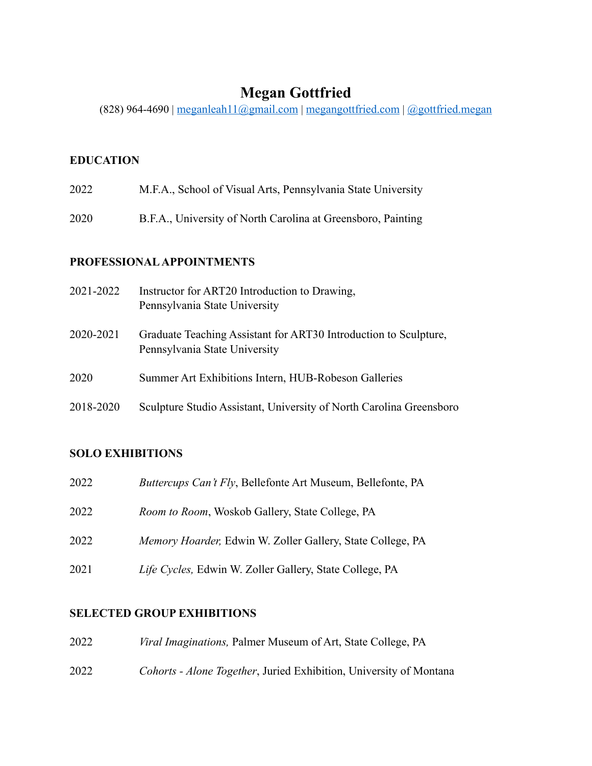# **Megan Gottfried**

(828) 964-4690 | [meganleah11@gmail.com](mailto:meganleah11@gmail.com) | [megangottfried.com](https://megangottfried.com) | [@gottfried.megan](https://www.instagram.com/gottfried.megan/?hl=en)

### **EDUCATION**

- 2022 M.F.A., School of Visual Arts, Pennsylvania State University
- 2020 B.F.A., University of North Carolina at Greensboro, Painting

### **PROFESSIONAL APPOINTMENTS**

| 2021-2022 | Instructor for ART20 Introduction to Drawing,<br>Pennsylvania State University                    |
|-----------|---------------------------------------------------------------------------------------------------|
| 2020-2021 | Graduate Teaching Assistant for ART30 Introduction to Sculpture,<br>Pennsylvania State University |
| 2020      | Summer Art Exhibitions Intern, HUB-Robeson Galleries                                              |
| 2018-2020 | Sculpture Studio Assistant, University of North Carolina Greensboro                               |

### **SOLO EXHIBITIONS**

| 2022 | <i>Buttercups Can't Fly</i> , Bellefonte Art Museum, Bellefonte, PA |
|------|---------------------------------------------------------------------|
| 2022 | <i>Room to Room</i> , Woskob Gallery, State College, PA             |
| 2022 | <i>Memory Hoarder, Edwin W. Zoller Gallery, State College, PA</i>   |
| 2021 | Life Cycles, Edwin W. Zoller Gallery, State College, PA             |

### **SELECTED GROUP EXHIBITIONS**

| 2022 | <i>Viral Imaginations, Palmer Museum of Art, State College, PA</i> |
|------|--------------------------------------------------------------------|
| 2022 | Cohorts - Alone Together, Juried Exhibition, University of Montana |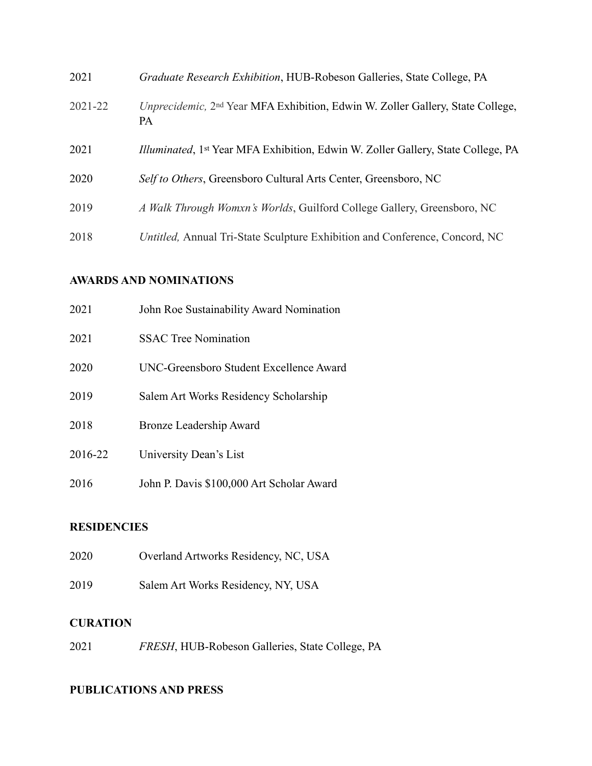| 2021        | Graduate Research Exhibition, HUB-Robeson Galleries, State College, PA                                  |
|-------------|---------------------------------------------------------------------------------------------------------|
| $2021 - 22$ | Unprecidemic, 2 <sup>nd</sup> Year MFA Exhibition, Edwin W. Zoller Gallery, State College,<br><b>PA</b> |
| 2021        | Illuminated, 1st Year MFA Exhibition, Edwin W. Zoller Gallery, State College, PA                        |
| 2020        | Self to Others, Greensboro Cultural Arts Center, Greensboro, NC                                         |
| 2019        | A Walk Through Womxn's Worlds, Guilford College Gallery, Greensboro, NC                                 |
| 2018        | Untitled, Annual Tri-State Sculpture Exhibition and Conference, Concord, NC                             |

#### **AWARDS AND NOMINATIONS**

| 2021    | John Roe Sustainability Award Nomination  |
|---------|-------------------------------------------|
| 2021    | <b>SSAC Tree Nomination</b>               |
| 2020    | UNC-Greensboro Student Excellence Award   |
| 2019    | Salem Art Works Residency Scholarship     |
| 2018    | Bronze Leadership Award                   |
| 2016-22 | University Dean's List                    |
| 2016    | John P. Davis \$100,000 Art Scholar Award |

### **RESIDENCIES**

Salem Art Works Residency, NY, USA

## **CURATION**

*FRESH*, HUB-Robeson Galleries, State College, PA

# **PUBLICATIONS AND PRESS**